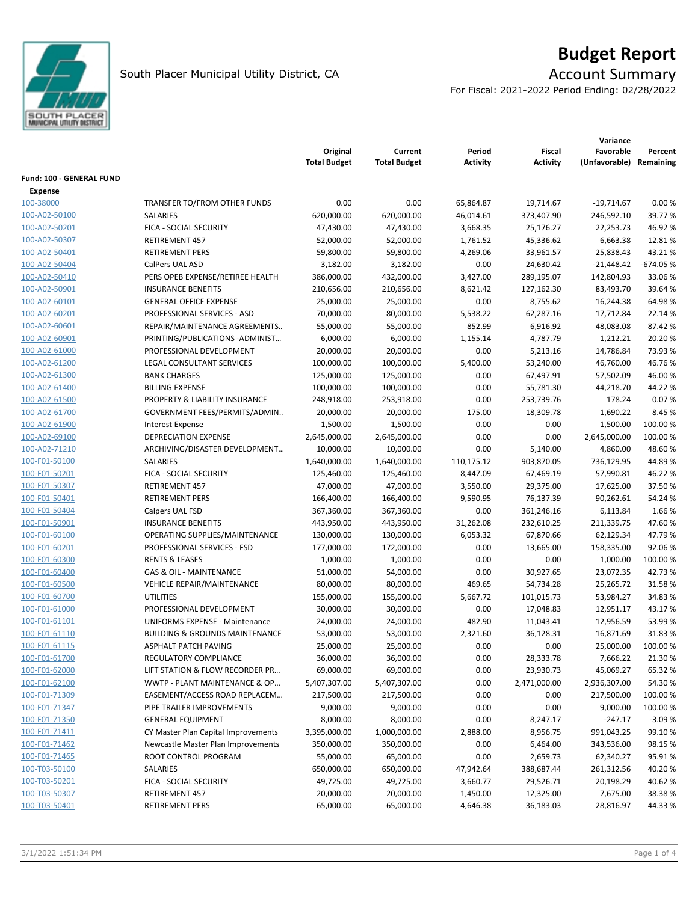

# **Budget Report**

For Fiscal: 2021-2022 Period Ending: 02/28/2022

|                          |                                           | Original<br><b>Total Budget</b> | Current<br><b>Total Budget</b> | Period<br>Activity | <b>Fiscal</b><br><b>Activity</b> | Variance<br>Favorable<br>(Unfavorable) | Percent<br>Remaining |
|--------------------------|-------------------------------------------|---------------------------------|--------------------------------|--------------------|----------------------------------|----------------------------------------|----------------------|
| Fund: 100 - GENERAL FUND |                                           |                                 |                                |                    |                                  |                                        |                      |
| <b>Expense</b>           |                                           |                                 |                                |                    |                                  |                                        |                      |
| 100-38000                | TRANSFER TO/FROM OTHER FUNDS              | 0.00                            | 0.00                           | 65,864.87          | 19,714.67                        | $-19,714.67$                           | 0.00%                |
| 100-A02-50100            | SALARIES                                  | 620,000.00                      | 620,000.00                     | 46,014.61          | 373,407.90                       | 246,592.10                             | 39.77%               |
| 100-A02-50201            | FICA - SOCIAL SECURITY                    | 47,430.00                       | 47,430.00                      | 3,668.35           | 25,176.27                        | 22,253.73                              | 46.92%               |
| 100-A02-50307            | <b>RETIREMENT 457</b>                     | 52,000.00                       | 52,000.00                      | 1,761.52           | 45,336.62                        | 6,663.38                               | 12.81%               |
| 100-A02-50401            | <b>RETIREMENT PERS</b>                    | 59,800.00                       | 59,800.00                      | 4,269.06           | 33,961.57                        | 25,838.43                              | 43.21%               |
| 100-A02-50404            | CalPers UAL ASD                           | 3,182.00                        | 3,182.00                       | 0.00               | 24,630.42                        | $-21,448.42$                           | $-674.05%$           |
| 100-A02-50410            | PERS OPEB EXPENSE/RETIREE HEALTH          | 386,000.00                      | 432,000.00                     | 3,427.00           | 289,195.07                       | 142,804.93                             | 33.06 %              |
| 100-A02-50901            | <b>INSURANCE BENEFITS</b>                 | 210,656.00                      | 210,656.00                     |                    | 127,162.30                       | 83,493.70                              | 39.64 %              |
|                          |                                           |                                 |                                | 8,621.42           |                                  |                                        |                      |
| 100-A02-60101            | <b>GENERAL OFFICE EXPENSE</b>             | 25,000.00                       | 25,000.00                      | 0.00               | 8,755.62                         | 16,244.38                              | 64.98%               |
| 100-A02-60201            | PROFESSIONAL SERVICES - ASD               | 70,000.00                       | 80,000.00                      | 5,538.22           | 62,287.16                        | 17,712.84                              | 22.14 %              |
| 100-A02-60601            | REPAIR/MAINTENANCE AGREEMENTS             | 55,000.00                       | 55,000.00                      | 852.99             | 6,916.92                         | 48,083.08                              | 87.42%               |
| 100-A02-60901            | PRINTING/PUBLICATIONS-ADMINIST            | 6,000.00                        | 6,000.00                       | 1,155.14           | 4,787.79                         | 1,212.21                               | 20.20%               |
| 100-A02-61000            | PROFESSIONAL DEVELOPMENT                  | 20,000.00                       | 20,000.00                      | 0.00               | 5,213.16                         | 14,786.84                              | 73.93%               |
| 100-A02-61200            | LEGAL CONSULTANT SERVICES                 | 100,000.00                      | 100,000.00                     | 5,400.00           | 53,240.00                        | 46,760.00                              | 46.76%               |
| 100-A02-61300            | <b>BANK CHARGES</b>                       | 125,000.00                      | 125,000.00                     | 0.00               | 67,497.91                        | 57,502.09                              | 46.00%               |
| 100-A02-61400            | <b>BILLING EXPENSE</b>                    | 100,000.00                      | 100,000.00                     | 0.00               | 55,781.30                        | 44,218.70                              | 44.22%               |
| 100-A02-61500            | PROPERTY & LIABILITY INSURANCE            | 248,918.00                      | 253,918.00                     | 0.00               | 253,739.76                       | 178.24                                 | 0.07%                |
| 100-A02-61700            | GOVERNMENT FEES/PERMITS/ADMIN             | 20,000.00                       | 20,000.00                      | 175.00             | 18,309.78                        | 1,690.22                               | 8.45 %               |
| 100-A02-61900            | <b>Interest Expense</b>                   | 1,500.00                        | 1,500.00                       | 0.00               | 0.00                             | 1,500.00                               | 100.00 %             |
| 100-A02-69100            | <b>DEPRECIATION EXPENSE</b>               | 2,645,000.00                    | 2,645,000.00                   | 0.00               | 0.00                             | 2,645,000.00                           | 100.00 %             |
| 100-A02-71210            | ARCHIVING/DISASTER DEVELOPMENT            | 10,000.00                       | 10,000.00                      | 0.00               | 5,140.00                         | 4,860.00                               | 48.60%               |
| 100-F01-50100            | <b>SALARIES</b>                           | 1,640,000.00                    | 1,640,000.00                   | 110,175.12         | 903,870.05                       | 736,129.95                             | 44.89%               |
| 100-F01-50201            | FICA - SOCIAL SECURITY                    | 125,460.00                      | 125,460.00                     | 8,447.09           | 67,469.19                        | 57,990.81                              | 46.22%               |
| 100-F01-50307            | <b>RETIREMENT 457</b>                     | 47,000.00                       | 47,000.00                      | 3,550.00           | 29,375.00                        | 17,625.00                              | 37.50%               |
| 100-F01-50401            | <b>RETIREMENT PERS</b>                    | 166,400.00                      | 166,400.00                     | 9,590.95           | 76,137.39                        | 90,262.61                              | 54.24 %              |
| 100-F01-50404            | Calpers UAL FSD                           | 367,360.00                      | 367,360.00                     | 0.00               | 361,246.16                       | 6,113.84                               | 1.66 %               |
| 100-F01-50901            | <b>INSURANCE BENEFITS</b>                 | 443,950.00                      | 443,950.00                     | 31,262.08          | 232,610.25                       | 211,339.75                             | 47.60%               |
| 100-F01-60100            | OPERATING SUPPLIES/MAINTENANCE            | 130,000.00                      | 130,000.00                     | 6,053.32           | 67,870.66                        | 62,129.34                              | 47.79%               |
| 100-F01-60201            | PROFESSIONAL SERVICES - FSD               | 177,000.00                      | 172,000.00                     | 0.00               | 13,665.00                        | 158,335.00                             | 92.06%               |
| 100-F01-60300            | <b>RENTS &amp; LEASES</b>                 | 1,000.00                        | 1,000.00                       | 0.00               | 0.00                             | 1,000.00                               | 100.00 %             |
| 100-F01-60400            | <b>GAS &amp; OIL - MAINTENANCE</b>        | 51,000.00                       | 54,000.00                      | 0.00               | 30,927.65                        | 23,072.35                              | 42.73%               |
| 100-F01-60500            | <b>VEHICLE REPAIR/MAINTENANCE</b>         | 80,000.00                       | 80,000.00                      | 469.65             | 54,734.28                        | 25,265.72                              | 31.58%               |
| 100-F01-60700            | <b>UTILITIES</b>                          | 155,000.00                      | 155,000.00                     | 5,667.72           | 101,015.73                       | 53,984.27                              | 34.83%               |
| 100-F01-61000            | PROFESSIONAL DEVELOPMENT                  | 30,000.00                       | 30,000.00                      | 0.00               | 17,048.83                        | 12,951.17                              | 43.17%               |
| 100-F01-61101            | UNIFORMS EXPENSE - Maintenance            | 24,000.00                       | 24,000.00                      | 482.90             | 11,043.41                        | 12,956.59                              | 53.99%               |
| 100-F01-61110            | <b>BUILDING &amp; GROUNDS MAINTENANCE</b> | 53,000.00                       | 53,000.00                      | 2,321.60           | 36,128.31                        | 16,871.69                              | 31.83%               |
| 100-F01-61115            | <b>ASPHALT PATCH PAVING</b>               | 25,000.00                       | 25,000.00                      | 0.00               | 0.00                             | 25,000.00                              | 100.00 %             |
| 100-F01-61700            | REGULATORY COMPLIANCE                     | 36,000.00                       | 36,000.00                      | 0.00               | 28,333.78                        | 7,666.22                               | 21.30%               |
| 100-F01-62000            | LIFT STATION & FLOW RECORDER PR           | 69,000.00                       | 69,000.00                      | 0.00               | 23,930.73                        | 45,069.27                              | 65.32 %              |
| 100-F01-62100            | WWTP - PLANT MAINTENANCE & OP             | 5,407,307.00                    | 5,407,307.00                   | 0.00               | 2,471,000.00                     | 2,936,307.00                           | 54.30%               |
| 100-F01-71309            | EASEMENT/ACCESS ROAD REPLACEM             | 217,500.00                      | 217,500.00                     | 0.00               | 0.00                             | 217,500.00                             | 100.00%              |
| 100-F01-71347            | PIPE TRAILER IMPROVEMENTS                 | 9,000.00                        | 9,000.00                       | 0.00               | 0.00                             | 9,000.00                               | 100.00 %             |
| 100-F01-71350            | <b>GENERAL EQUIPMENT</b>                  | 8,000.00                        | 8,000.00                       | 0.00               | 8,247.17                         | $-247.17$                              | $-3.09%$             |
| 100-F01-71411            | CY Master Plan Capital Improvements       | 3,395,000.00                    | 1,000,000.00                   | 2,888.00           | 8,956.75                         | 991,043.25                             | 99.10%               |
| 100-F01-71462            | Newcastle Master Plan Improvements        | 350,000.00                      | 350,000.00                     | 0.00               | 6,464.00                         | 343,536.00                             | 98.15%               |
| 100-F01-71465            | ROOT CONTROL PROGRAM                      | 55,000.00                       | 65,000.00                      | 0.00               | 2,659.73                         | 62,340.27                              | 95.91%               |
| 100-T03-50100            | SALARIES                                  | 650,000.00                      | 650,000.00                     | 47,942.64          | 388,687.44                       | 261,312.56                             | 40.20%               |
| 100-T03-50201            | FICA - SOCIAL SECURITY                    | 49,725.00                       | 49,725.00                      | 3,660.77           | 29,526.71                        | 20,198.29                              | 40.62%               |
| 100-T03-50307            | RETIREMENT 457                            | 20,000.00                       | 20,000.00                      | 1,450.00           | 12,325.00                        | 7,675.00                               | 38.38%               |
| 100-T03-50401            | <b>RETIREMENT PERS</b>                    | 65,000.00                       | 65,000.00                      | 4,646.38           | 36,183.03                        | 28,816.97                              | 44.33%               |
|                          |                                           |                                 |                                |                    |                                  |                                        |                      |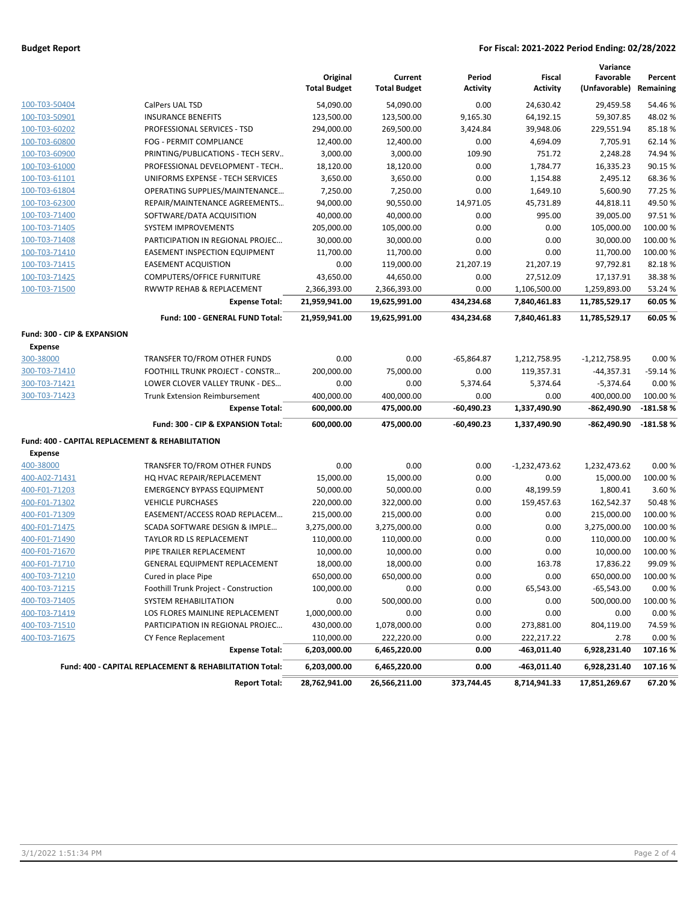### **Budget Report For Fiscal: 2021-2022 Period Ending: 02/28/2022**

|                                                             |                                                         | Original<br><b>Total Budget</b> | Current<br><b>Total Budget</b> | Period<br><b>Activity</b> | Fiscal<br><b>Activity</b> | Variance<br>Favorable<br>(Unfavorable) | Percent<br>Remaining |
|-------------------------------------------------------------|---------------------------------------------------------|---------------------------------|--------------------------------|---------------------------|---------------------------|----------------------------------------|----------------------|
| 100-T03-50404                                               | CalPers UAL TSD                                         | 54,090.00                       | 54,090.00                      | 0.00                      | 24,630.42                 | 29,459.58                              | 54.46%               |
| 100-T03-50901                                               | <b>INSURANCE BENEFITS</b>                               | 123,500.00                      | 123,500.00                     | 9,165.30                  | 64,192.15                 | 59,307.85                              | 48.02%               |
| 100-T03-60202                                               | PROFESSIONAL SERVICES - TSD                             | 294,000.00                      | 269,500.00                     | 3,424.84                  | 39,948.06                 | 229,551.94                             | 85.18%               |
| 100-T03-60800                                               | FOG - PERMIT COMPLIANCE                                 | 12,400.00                       | 12,400.00                      | 0.00                      | 4,694.09                  | 7,705.91                               | 62.14%               |
| 100-T03-60900                                               | PRINTING/PUBLICATIONS - TECH SERV                       | 3,000.00                        | 3,000.00                       | 109.90                    | 751.72                    | 2,248.28                               | 74.94 %              |
| 100-T03-61000                                               | PROFESSIONAL DEVELOPMENT - TECH                         | 18,120.00                       | 18,120.00                      | 0.00                      | 1,784.77                  | 16,335.23                              | 90.15%               |
| 100-T03-61101                                               | UNIFORMS EXPENSE - TECH SERVICES                        | 3,650.00                        | 3,650.00                       | 0.00                      | 1,154.88                  | 2,495.12                               | 68.36%               |
| 100-T03-61804                                               | OPERATING SUPPLIES/MAINTENANCE                          | 7,250.00                        | 7,250.00                       | 0.00                      | 1,649.10                  | 5,600.90                               | 77.25 %              |
| 100-T03-62300                                               | REPAIR/MAINTENANCE AGREEMENTS                           | 94,000.00                       | 90,550.00                      | 14,971.05                 | 45,731.89                 | 44,818.11                              | 49.50%               |
| 100-T03-71400                                               | SOFTWARE/DATA ACQUISITION                               | 40,000.00                       | 40,000.00                      | 0.00                      | 995.00                    | 39,005.00                              | 97.51%               |
| 100-T03-71405                                               | <b>SYSTEM IMPROVEMENTS</b>                              | 205,000.00                      | 105,000.00                     | 0.00                      | 0.00                      | 105,000.00                             | 100.00 %             |
| 100-T03-71408                                               | PARTICIPATION IN REGIONAL PROJEC                        | 30,000.00                       | 30,000.00                      | 0.00                      | 0.00                      | 30,000.00                              | 100.00%              |
| 100-T03-71410                                               | <b>EASEMENT INSPECTION EQUIPMENT</b>                    | 11,700.00                       | 11,700.00                      | 0.00                      | 0.00                      | 11,700.00                              | 100.00%              |
| 100-T03-71415                                               | <b>EASEMENT ACQUISTION</b>                              | 0.00                            | 119,000.00                     | 21,207.19                 | 21,207.19                 | 97,792.81                              | 82.18%               |
| 100-T03-71425                                               | COMPUTERS/OFFICE FURNITURE                              | 43,650.00                       | 44,650.00                      | 0.00                      | 27,512.09                 | 17,137.91                              | 38.38%               |
| 100-T03-71500                                               | RWWTP REHAB & REPLACEMENT                               | 2,366,393.00                    | 2,366,393.00                   | 0.00                      | 1,106,500.00              | 1,259,893.00                           | 53.24 %              |
|                                                             | <b>Expense Total:</b>                                   | 21,959,941.00                   | 19,625,991.00                  | 434,234.68                | 7,840,461.83              | 11,785,529.17                          | 60.05%               |
|                                                             | Fund: 100 - GENERAL FUND Total:                         | 21,959,941.00                   | 19,625,991.00                  | 434,234.68                | 7,840,461.83              | 11,785,529.17                          | 60.05%               |
| Fund: 300 - CIP & EXPANSION                                 |                                                         |                                 |                                |                           |                           |                                        |                      |
| <b>Expense</b>                                              |                                                         |                                 |                                |                           |                           |                                        |                      |
| 300-38000                                                   | TRANSFER TO/FROM OTHER FUNDS                            | 0.00                            | 0.00                           | $-65,864.87$              | 1,212,758.95              | $-1,212,758.95$                        | 0.00%                |
| 300-T03-71410                                               | <b>FOOTHILL TRUNK PROJECT - CONSTR</b>                  | 200,000.00                      | 75,000.00                      | 0.00                      | 119,357.31                | $-44,357.31$                           | $-59.14%$            |
| 300-T03-71421                                               | LOWER CLOVER VALLEY TRUNK - DES                         | 0.00                            | 0.00                           | 5,374.64                  | 5,374.64                  | $-5,374.64$                            | 0.00%                |
| 300-T03-71423                                               | <b>Trunk Extension Reimbursement</b>                    | 400,000.00                      | 400,000.00                     | 0.00                      | 0.00                      | 400,000.00                             | 100.00%              |
|                                                             | <b>Expense Total:</b>                                   | 600,000.00                      | 475,000.00                     | -60,490.23                | 1,337,490.90              | -862,490.90                            | $-181.58%$           |
|                                                             | Fund: 300 - CIP & EXPANSION Total:                      | 600,000.00                      | 475,000.00                     | -60,490.23                | 1,337,490.90              | -862,490.90                            | $-181.58%$           |
| <b>Fund: 400 - CAPITAL REPLACEMENT &amp; REHABILITATION</b> |                                                         |                                 |                                |                           |                           |                                        |                      |
| <b>Expense</b>                                              |                                                         |                                 |                                |                           |                           |                                        |                      |
| 400-38000                                                   | TRANSFER TO/FROM OTHER FUNDS                            | 0.00                            | 0.00                           | 0.00                      | $-1,232,473.62$           | 1,232,473.62                           | 0.00%                |
| 400-A02-71431                                               | HQ HVAC REPAIR/REPLACEMENT                              | 15,000.00                       | 15,000.00                      | 0.00                      | 0.00                      | 15,000.00                              | 100.00%              |
| 400-F01-71203                                               | <b>EMERGENCY BYPASS EQUIPMENT</b>                       | 50,000.00                       | 50,000.00                      | 0.00                      | 48,199.59                 | 1,800.41                               | 3.60%                |
| 400-F01-71302                                               | <b>VEHICLE PURCHASES</b>                                | 220,000.00                      | 322,000.00                     | 0.00                      | 159,457.63                | 162,542.37                             | 50.48%               |
| 400-F01-71309                                               | EASEMENT/ACCESS ROAD REPLACEM                           | 215,000.00                      | 215,000.00                     | 0.00                      | 0.00                      | 215,000.00                             | 100.00 %             |
| 400-F01-71475                                               | SCADA SOFTWARE DESIGN & IMPLE                           | 3,275,000.00                    | 3,275,000.00                   | 0.00                      | 0.00                      | 3,275,000.00                           | 100.00%              |
| 400-F01-71490                                               | TAYLOR RD LS REPLACEMENT                                | 110,000.00                      | 110,000.00                     | 0.00                      | 0.00                      | 110,000.00                             | 100.00%              |
| 400-F01-71670                                               | PIPE TRAILER REPLACEMENT                                | 10,000.00                       | 10,000.00                      | 0.00                      | 0.00                      | 10,000.00                              | 100.00 %             |
| 400-F01-71710                                               | <b>GENERAL EQUIPMENT REPLACEMENT</b>                    | 18,000.00                       | 18,000.00                      | 0.00                      | 163.78                    | 17,836.22                              | 99.09%               |
| 400-T03-71210                                               | Cured in place Pipe                                     | 650,000.00                      | 650,000.00                     | 0.00                      | 0.00                      | 650,000.00                             | 100.00 %             |
| 400-T03-71215                                               | Foothill Trunk Project - Construction                   | 100,000.00                      | 0.00                           | 0.00                      | 65,543.00                 | $-65,543.00$                           | 0.00%                |
| 400-T03-71405                                               | SYSTEM REHABILITATION                                   | 0.00                            | 500,000.00                     | 0.00                      | 0.00                      | 500,000.00                             | 100.00%              |
| 400-T03-71419                                               | LOS FLORES MAINLINE REPLACEMENT                         | 1,000,000.00                    | 0.00                           | 0.00                      | 0.00                      | 0.00                                   | 0.00%                |
| 400-T03-71510                                               | PARTICIPATION IN REGIONAL PROJEC                        | 430,000.00                      | 1,078,000.00                   | 0.00                      | 273,881.00                | 804,119.00                             | 74.59%               |
| 400-T03-71675                                               | CY Fence Replacement                                    | 110,000.00                      | 222,220.00                     | 0.00                      | 222,217.22                | 2.78                                   | 0.00%                |
|                                                             | <b>Expense Total:</b>                                   | 6,203,000.00                    | 6,465,220.00                   | 0.00                      | -463,011.40               | 6,928,231.40                           | 107.16%              |
|                                                             | Fund: 400 - CAPITAL REPLACEMENT & REHABILITATION Total: | 6,203,000.00                    | 6,465,220.00                   | 0.00                      | -463,011.40               | 6,928,231.40                           | 107.16%              |
|                                                             | <b>Report Total:</b>                                    | 28,762,941.00                   | 26,566,211.00                  | 373,744.45                | 8,714,941.33              | 17,851,269.67                          | 67.20%               |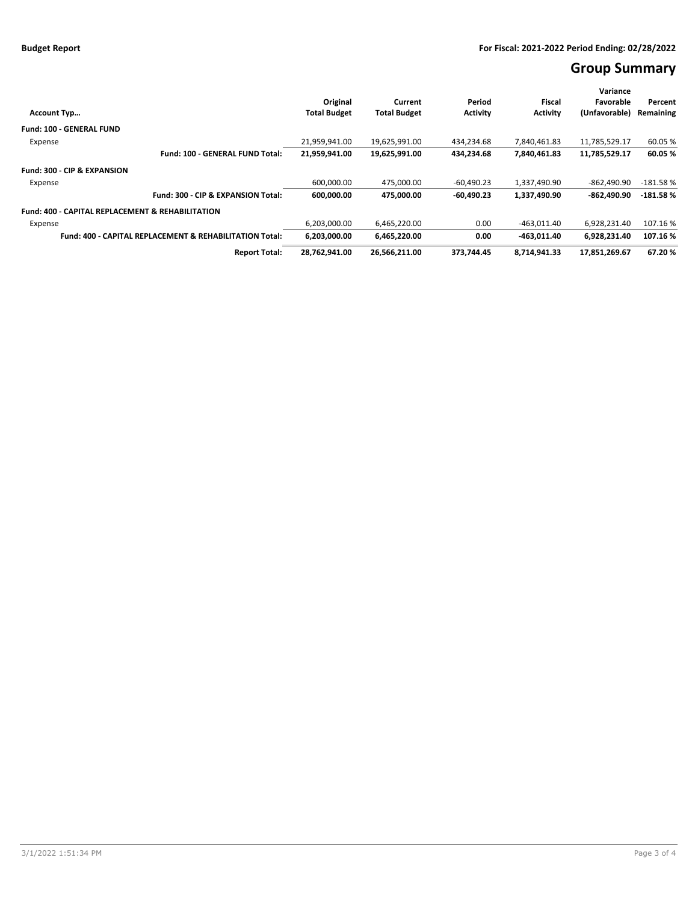# **Group Summary**

|                                                                    |                      |                     |                     |                 |                 | Variance      |            |
|--------------------------------------------------------------------|----------------------|---------------------|---------------------|-----------------|-----------------|---------------|------------|
|                                                                    |                      | Original            | Current             | Period          | Fiscal          | Favorable     | Percent    |
| <b>Account Typ</b>                                                 |                      | <b>Total Budget</b> | <b>Total Budget</b> | <b>Activity</b> | <b>Activity</b> | (Unfavorable) | Remaining  |
| <b>Fund: 100 - GENERAL FUND</b>                                    |                      |                     |                     |                 |                 |               |            |
| Expense                                                            |                      | 21.959.941.00       | 19.625.991.00       | 434.234.68      | 7.840.461.83    | 11,785,529.17 | 60.05 %    |
| Fund: 100 - GENERAL FUND Total:                                    |                      | 21,959,941.00       | 19,625,991.00       | 434,234.68      | 7,840,461.83    | 11,785,529.17 | 60.05%     |
| <b>Fund: 300 - CIP &amp; EXPANSION</b>                             |                      |                     |                     |                 |                 |               |            |
| Expense                                                            |                      | 600,000.00          | 475,000.00          | $-60,490.23$    | 1,337,490.90    | -862,490.90   | $-181.58%$ |
| Fund: 300 - CIP & EXPANSION Total:                                 |                      | 600.000.00          | 475.000.00          | $-60.490.23$    | 1,337,490.90    | -862.490.90   | $-181.58%$ |
| <b>Fund: 400 - CAPITAL REPLACEMENT &amp; REHABILITATION</b>        |                      |                     |                     |                 |                 |               |            |
| Expense                                                            |                      | 6,203,000.00        | 6,465,220.00        | 0.00            | $-463,011.40$   | 6,928,231.40  | 107.16%    |
| <b>Fund: 400 - CAPITAL REPLACEMENT &amp; REHABILITATION Total:</b> |                      | 6,203,000.00        | 6,465,220.00        | 0.00            | $-463.011.40$   | 6,928,231.40  | 107.16%    |
|                                                                    | <b>Report Total:</b> | 28,762,941.00       | 26,566,211.00       | 373.744.45      | 8,714,941.33    | 17,851,269.67 | 67.20%     |
|                                                                    |                      |                     |                     |                 |                 |               |            |